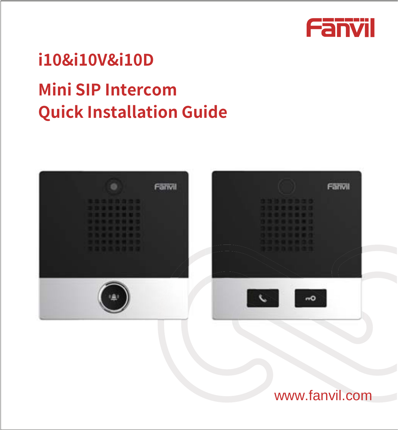

# **j10&j10V&j10D**

# **Mini SIP Intercom Quick Installation Guide**



# www.fanvil.com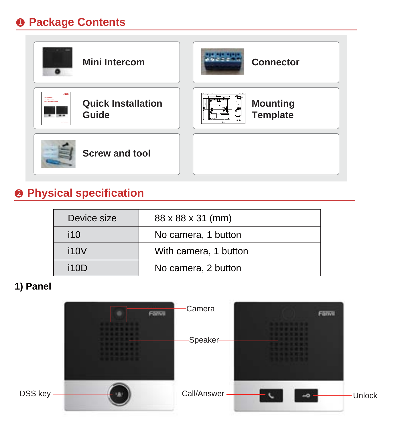### **Package Contents**



# **<sup>** $\bullet$ **</sup>** Physical specification

| Device size | 88 x 88 x 31 (mm)     |
|-------------|-----------------------|
| i10         | No camera, 1 button   |
| i10V        | With camera, 1 button |
| i10D        | No camera, 2 button   |

#### **1) Panel**

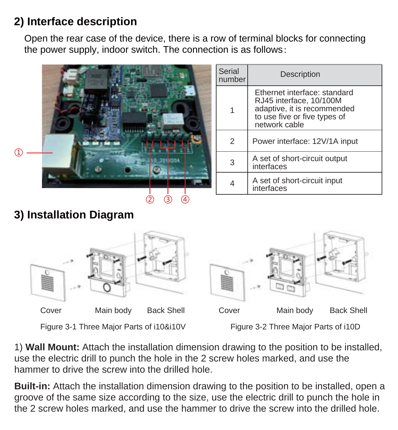#### **2) Interface description**

Open the rear case of the device, there is a row of terminal blocks for connecting the power supply, indoor switch. The connection is as follows:





1) **Wall Mount:** Attach the installation dimension drawing to the position to be installed, use the electric drill to punch the hole in the 2 screw holes marked, and use the hammer to drive the screw into the drilled hole.

**Built-in:** Attach the installation dimension drawing to the position to be installed, open a groove of the same size according to the size, use the electric drill to punch the hole in the 2 screw holes marked, and use the hammer to drive the screw into the drilled hole.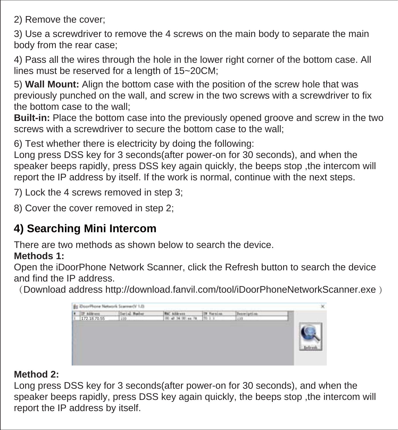2) Remove the cover;

3) Use a screwdriver to remove the 4 screws on the main body to separate the main body from the rear case;

4) Pass all the wires through the hole in the lower right corner of the bottom case. All lines must be reserved for a length of 15~20CM;

5) **Wall Mount:** Align the bottom case with the position of the screw hole that was previously punched on the wall, and screw in the two screws with a screwdriver to fix the bottom case to the wall;

**Built-in:** Place the bottom case into the previously opened groove and screw in the two screws with a screwdriver to secure the bottom case to the wall;

6) Test whether there is electricity by doing the following:

Long press DSS key for 3 seconds(after power-on for 30 seconds), and when the speaker beeps rapidly, press DSS key again quickly, the beeps stop ,the intercom will report the IP address by itself. If the work is normal, continue with the next steps.

7) Lock the 4 screws removed in step 3;

8) Cover the cover removed in step 2;

## **4) Searching Mini Intercom**

There are two methods as shown below to search the device.

#### **Methods 1:**

Open the iDoorPhone Network Scanner, click the Refresh button to search the device and find the IP address.

(Download address http://download.fanvil.com/tool/iDoorPhoneNetworkScanner.exe )



#### **Method 2:**

Long press DSS key for 3 seconds(after power-on for 30 seconds), and when the speaker beeps rapidly, press DSS key again quickly, the beeps stop ,the intercom will report the IP address by itself.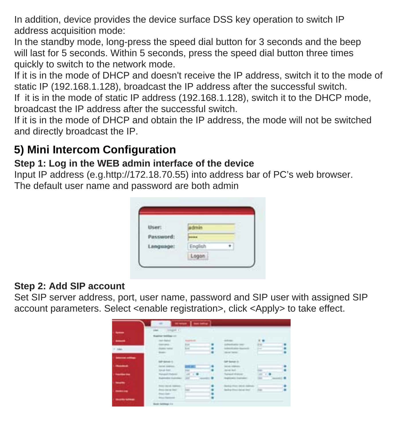In addition, device provides the device surface DSS key operation to switch IP address acquisition mode:

In the standby mode, long-press the speed dial button for 3 seconds and the beep will last for 5 seconds. Within 5 seconds, press the speed dial button three times quickly to switch to the network mode.

If it is in the mode of DHCP and doesn't receive the IP address, switch it to the mode of static IP (192.168.1.128), broadcast the IP address after the successful switch.

If it is in the mode of static IP address (192.168.1.128), switch it to the DHCP mode, broadcast the IP address after the successful switch.

If it is in the mode of DHCP and obtain the IP address, the mode will not be switched and directly broadcast the IP.

#### **5) Mini Intercom Configuration**

#### **Step 1: Log in the WEB admin interface of the device**

Input IP address (e.g.http://172.18.70.55) into address bar of PC's web browser. The default user name and password are both admin

| User:     | somin   |  |
|-----------|---------|--|
| Password: |         |  |
| Language: | English |  |
|           | Logon   |  |

#### **Step 2: Add SIP account**

Set SIP server address, port, user name, password and SIP user with assigned SIP account parameters. Select <enable registration>, click <Apply> to take effect.

| -     | <b>ENGINE 1</b>                     |                |                                     |          |
|-------|-------------------------------------|----------------|-------------------------------------|----------|
|       | <b>Marine Service</b> and           |                |                                     |          |
| -     | <b>All Color</b>                    | <b>Service</b> | $-0.0000$                           | $\cdots$ |
|       | <b>Contractor</b>                   | $1 -$          | <b>CALL AND</b>                     | $+$      |
| Allen | <b>Parties Service</b>              | <b>College</b> |                                     |          |
|       | <b>COLOR</b>                        |                | <b>Mark Council</b>                 |          |
| ----  |                                     |                |                                     |          |
|       | <b><i><u>Printed</u></i></b>        |                | <b>UP Schutz Jt</b>                 |          |
| ---   | <b>Sales Address</b>                | <b>SHEART</b>  | <b>SENSIBILITY</b>                  |          |
|       | <b>Senat Aven</b>                   |                | <b>SEARCH</b>                       |          |
| ---   | <b><i><u>School Support</u></i></b> |                | Transact divisions                  |          |
|       | <b>Genetics Systems</b>             |                | <b>SERVICE CONTRACT</b>             |          |
|       |                                     |                |                                     |          |
| --    | <b>Service And</b>                  |                | <b>System More Stands Assistant</b> |          |
|       | the day of the                      | -              | Stating Statistics and CO.          | $\sim$   |
| ---   | <b>Service</b>                      |                |                                     |          |
|       | <b><i><u>International</u></i></b>  |                |                                     |          |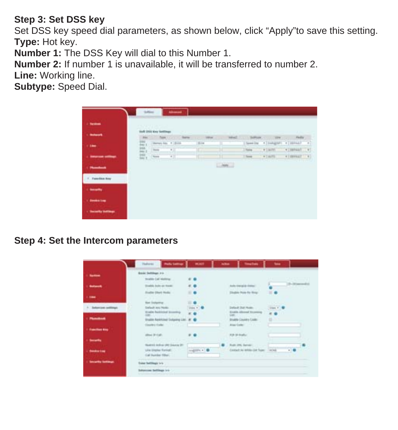#### **Step 3: Set DSS key**

Set DSS key speed dial parameters, as shown below, click "Apply"to save this setting. **Type:** Hot key.

**Number 1:** The DSS Key will dial to this Number 1.

**Number 2:** If number 1 is unavailable, it will be transferred to number 2.

**Line:** Working line.

**Subtype:** Speed Dial.

| For 1 The Corp. Same Line 1994 -<br>The Software County County Parks<br><b>TATALE</b><br>$\begin{bmatrix} 0 & 0 & 0 \\ 0 & 0 & 0 \\ 0 & 0 & 0 \end{bmatrix} \begin{bmatrix} 0 & 0 & 0 \\ 0 & 0 & 0 \\ 0 & 0 & 0 \end{bmatrix}$<br>(Sporting +) (congres) +) (division) +)<br>1 Miles<br><b>COMP.</b><br>+Televal +1<br><b>Visito</b><br><b>Torre</b><br>and the con-<br>$\overline{\mathbf{u}}_{\text{D}}$<br><b>County</b><br>$\mathcal{L}_{\mathcal{A}}$<br><b>AT DEPART 1973</b><br># Lauffa<br><b>Chevrolet college</b><br>Thurs.<br>$-$<br>Chief Li<br><b>PERSONAL PROPERTY</b><br>Families how<br>---<br>- Seeka tea | <b>Cheston</b>    | <b>SYLVIAN</b> |  |  |  |  |
|----------------------------------------------------------------------------------------------------------------------------------------------------------------------------------------------------------------------------------------------------------------------------------------------------------------------------------------------------------------------------------------------------------------------------------------------------------------------------------------------------------------------------------------------------------------------------------------------------------------------------|-------------------|----------------|--|--|--|--|
|                                                                                                                                                                                                                                                                                                                                                                                                                                                                                                                                                                                                                            | <b>L. Balance</b> |                |  |  |  |  |
|                                                                                                                                                                                                                                                                                                                                                                                                                                                                                                                                                                                                                            |                   |                |  |  |  |  |
|                                                                                                                                                                                                                                                                                                                                                                                                                                                                                                                                                                                                                            |                   |                |  |  |  |  |
|                                                                                                                                                                                                                                                                                                                                                                                                                                                                                                                                                                                                                            |                   |                |  |  |  |  |
|                                                                                                                                                                                                                                                                                                                                                                                                                                                                                                                                                                                                                            |                   |                |  |  |  |  |
|                                                                                                                                                                                                                                                                                                                                                                                                                                                                                                                                                                                                                            |                   |                |  |  |  |  |
|                                                                                                                                                                                                                                                                                                                                                                                                                                                                                                                                                                                                                            |                   |                |  |  |  |  |
|                                                                                                                                                                                                                                                                                                                                                                                                                                                                                                                                                                                                                            |                   |                |  |  |  |  |

#### **Step 4: Set the Intercom parameters**

| -                        | Book Settings 2 to 11                               |              |                                             |                   |            |
|--------------------------|-----------------------------------------------------|--------------|---------------------------------------------|-------------------|------------|
|                          | brake Cal motive                                    | 6.6          |                                             |                   |            |
| -                        | Studio July or from:                                | 4.0          | Auto transpirate former                     |                   | 5-March 21 |
|                          | <b>Franke Direct Hode:</b>                          |              | Disable Phila Fie Rings                     |                   |            |
| 1.144                    |                                                     |              |                                             |                   |            |
|                          | Not listening.                                      | $\mathbf{r}$ | <b>CALLANTIC</b>                            | <b>CONTRACTOR</b> |            |
| 1. Sedamized politicians | Todayk are Note.<br><b>Blade Packlobal Scoretta</b> |              | Delast Dul Husey<br>Evalua Adveral Expenses | $-$ man $+$ .     |            |
|                          |                                                     | $-$          |                                             |                   |            |
| <b>Planshoot</b>         | <b>Shutter Resimbed Subjects List. # @</b>          |              | <b>EKable Country Code:</b>                 | $\sim$            |            |
|                          | <b>Startes Caller</b>                               |              | Alad Gallery, CO 2121                       |                   |            |
| <b>Francisco May</b>     |                                                     |              |                                             |                   |            |
|                          | also in can.                                        |              | F/R 54 (Folke)                              |                   |            |
| <b>Service</b>           | Health Life and Dear and The                        |              | Rolls 2RC Service                           |                   |            |
| <b>Bandard Ford</b>      | sile State Farrell.                                 | $-200 + 10$  | contact or seem the forest Carbon           |                   |            |
|                          | Lal busine filler.                                  |              |                                             |                   |            |
| <b>Security Settings</b> |                                                     |              |                                             |                   |            |
|                          | <b>Excess Chall Director In L.</b>                  |              |                                             |                   |            |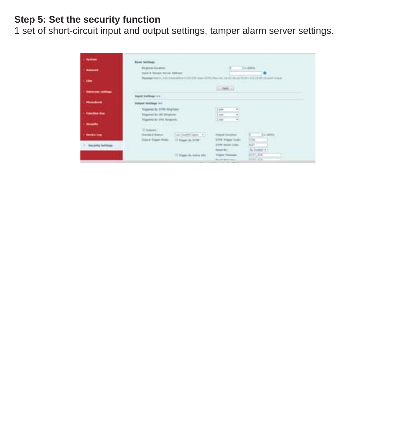#### **Step 5: Set the security function**

1 set of short-circuit input and output settings, tamper alarm server settings.

| <b>School</b>                   | <b>English Syndical</b>                 |                                                                                                                                                                                                                                                                                                                                                                |                       | $11 - 4000$                             |
|---------------------------------|-----------------------------------------|----------------------------------------------------------------------------------------------------------------------------------------------------------------------------------------------------------------------------------------------------------------------------------------------------------------------------------------------------------------|-----------------------|-----------------------------------------|
|                                 | Input & National Warrent Address:       |                                                                                                                                                                                                                                                                                                                                                                |                       |                                         |
| <b>COMPOSE</b>                  |                                         | Manager Sile H. John Davidseley Council of your crime.<br>to a statement with a statement                                                                                                                                                                                                                                                                      |                       | in air tit in cars in this future was a |
|                                 |                                         |                                                                                                                                                                                                                                                                                                                                                                | L. Harry              |                                         |
| <b>Selection continue</b>       |                                         |                                                                                                                                                                                                                                                                                                                                                                |                       |                                         |
|                                 | leased bettings on                      |                                                                                                                                                                                                                                                                                                                                                                |                       |                                         |
|                                 | <b>Indeed Intifficat inc.</b>           |                                                                                                                                                                                                                                                                                                                                                                |                       |                                         |
|                                 | <b>Trauwed By STAR Aing Ture:</b>       |                                                                                                                                                                                                                                                                                                                                                                | ٠<br>$1 + 1$          |                                         |
| - Handley Avy                   | <b>Sigared In 195 Frances</b>           |                                                                                                                                                                                                                                                                                                                                                                | im.<br>٠              |                                         |
|                                 | <b>Triggeomet der SPRI Reviewer</b>     |                                                                                                                                                                                                                                                                                                                                                                | ×<br>$1 - 4$          |                                         |
| <b>Security</b>                 |                                         |                                                                                                                                                                                                                                                                                                                                                                |                       |                                         |
|                                 | 10 Holivaki                             |                                                                                                                                                                                                                                                                                                                                                                |                       |                                         |
|                                 | <b>Theraked Burban</b>                  | $\left\langle \left\langle \left\langle \mu\right\rangle \left\langle \mu\right\rangle \rho\right\rangle \left\langle \left\langle \mu\right\rangle \rho\right\rangle \right\rangle \left\langle \mu\right\rangle \rho\left\langle \left\langle \mu\right\rangle \rho\right\rangle \left\langle \left\langle \mu\right\rangle \rho\right\rangle \right\rangle$ | <b>Small</b> Farabac- | $11 - 40$                               |
|                                 |                                         |                                                                                                                                                                                                                                                                                                                                                                | 2740 Trigged Cada:    | m.                                      |
| <b><i><u>Render Low</u></i></b> | Suited Stager Plutter 57 Wagger By STAK |                                                                                                                                                                                                                                                                                                                                                                |                       |                                         |
| 1. Becarity fertilisan          |                                         |                                                                                                                                                                                                                                                                                                                                                                | 2779 Excel Color:     | Will                                    |